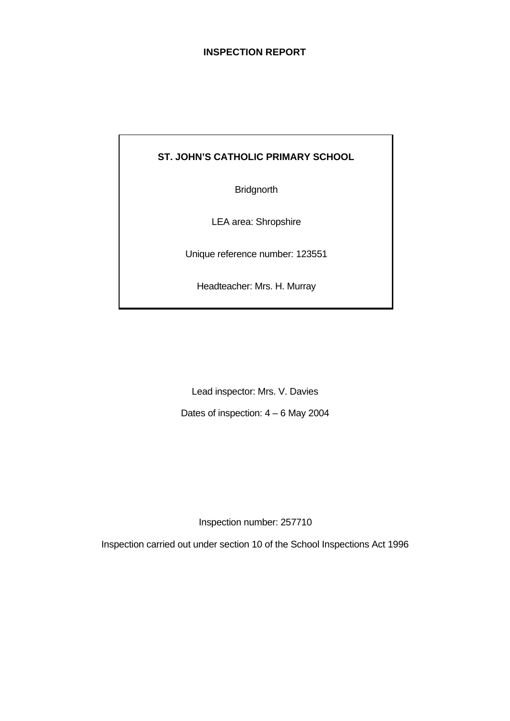## **INSPECTION REPORT**

# **ST. JOHN'S CATHOLIC PRIMARY SCHOOL**

**Bridgnorth** 

LEA area: Shropshire

Unique reference number: 123551

Headteacher: Mrs. H. Murray

Lead inspector: Mrs. V. Davies

Dates of inspection: 4 – 6 May 2004

Inspection number: 257710

Inspection carried out under section 10 of the School Inspections Act 1996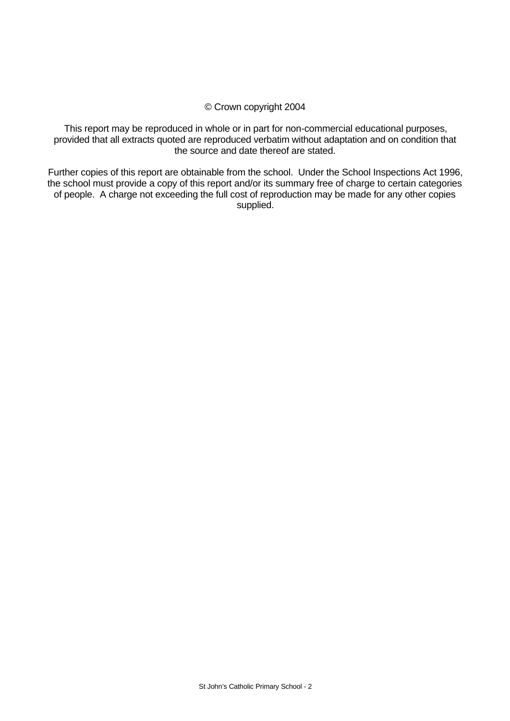### © Crown copyright 2004

This report may be reproduced in whole or in part for non-commercial educational purposes, provided that all extracts quoted are reproduced verbatim without adaptation and on condition that the source and date thereof are stated.

Further copies of this report are obtainable from the school. Under the School Inspections Act 1996, the school must provide a copy of this report and/or its summary free of charge to certain categories of people. A charge not exceeding the full cost of reproduction may be made for any other copies supplied.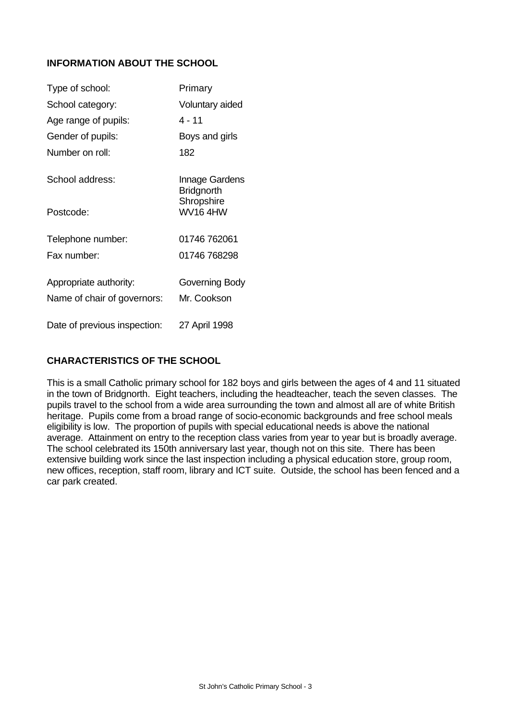## **INFORMATION ABOUT THE SCHOOL**

| Type of school:              | Primary                             |
|------------------------------|-------------------------------------|
| School category:             | Voluntary aided                     |
| Age range of pupils:         | 4 - 11                              |
| Gender of pupils:            | Boys and girls                      |
| Number on roll:              | 182                                 |
| School address:              | Innage Gardens<br><b>Bridgnorth</b> |
| Postcode:                    | Shropshire<br><b>WV164HW</b>        |
| Telephone number:            | 01746 762061                        |
| Fax number:                  | 01746 768298                        |
| Appropriate authority:       | Governing Body                      |
| Name of chair of governors:  | Mr. Cookson                         |
| Date of previous inspection: | 27 April 1998                       |

## **CHARACTERISTICS OF THE SCHOOL**

This is a small Catholic primary school for 182 boys and girls between the ages of 4 and 11 situated in the town of Bridgnorth. Eight teachers, including the headteacher, teach the seven classes. The pupils travel to the school from a wide area surrounding the town and almost all are of white British heritage. Pupils come from a broad range of socio-economic backgrounds and free school meals eligibility is low. The proportion of pupils with special educational needs is above the national average. Attainment on entry to the reception class varies from year to year but is broadly average. The school celebrated its 150th anniversary last year, though not on this site. There has been extensive building work since the last inspection including a physical education store, group room, new offices, reception, staff room, library and ICT suite. Outside, the school has been fenced and a car park created.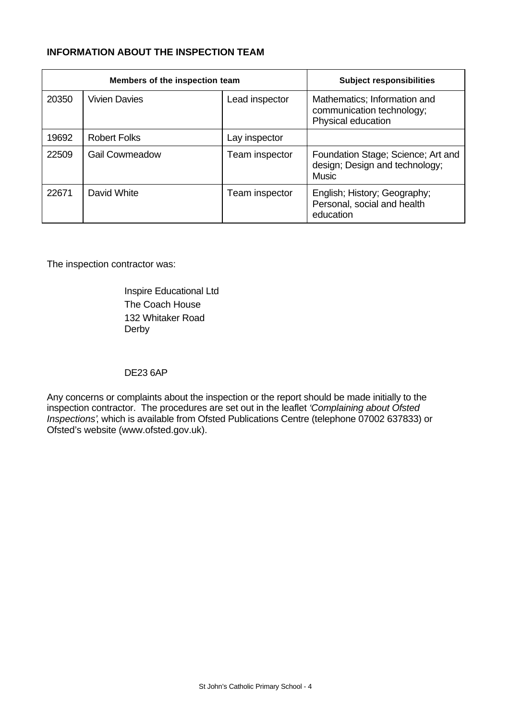# **INFORMATION ABOUT THE INSPECTION TEAM**

|       | Members of the inspection team |                | <b>Subject responsibilities</b>                                                      |
|-------|--------------------------------|----------------|--------------------------------------------------------------------------------------|
| 20350 | <b>Vivien Davies</b>           | Lead inspector | Mathematics; Information and<br>communication technology;<br>Physical education      |
| 19692 | <b>Robert Folks</b>            | Lay inspector  |                                                                                      |
| 22509 | <b>Gail Cowmeadow</b>          | Team inspector | Foundation Stage; Science; Art and<br>design; Design and technology;<br><b>Music</b> |
| 22671 | David White                    | Team inspector | English; History; Geography;<br>Personal, social and health<br>education             |

The inspection contractor was:

Inspire Educational Ltd The Coach House 132 Whitaker Road Derby

### DE23 6AP

Any concerns or complaints about the inspection or the report should be made initially to the inspection contractor. The procedures are set out in the leaflet *'Complaining about Ofsted Inspections'*, which is available from Ofsted Publications Centre (telephone 07002 637833) or Ofsted's website (www.ofsted.gov.uk).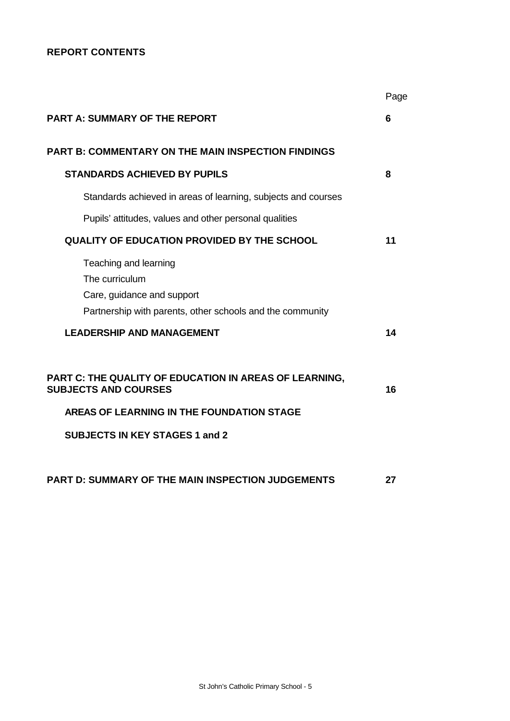# **REPORT CONTENTS**

|                                                                                                                                    | Page |
|------------------------------------------------------------------------------------------------------------------------------------|------|
| <b>PART A: SUMMARY OF THE REPORT</b>                                                                                               | 6    |
| <b>PART B: COMMENTARY ON THE MAIN INSPECTION FINDINGS</b>                                                                          |      |
| <b>STANDARDS ACHIEVED BY PUPILS</b>                                                                                                | 8    |
| Standards achieved in areas of learning, subjects and courses                                                                      |      |
| Pupils' attitudes, values and other personal qualities                                                                             |      |
| <b>QUALITY OF EDUCATION PROVIDED BY THE SCHOOL</b>                                                                                 | 11   |
| Teaching and learning<br>The curriculum<br>Care, guidance and support<br>Partnership with parents, other schools and the community |      |
| <b>LEADERSHIP AND MANAGEMENT</b>                                                                                                   | 14   |
| PART C: THE QUALITY OF EDUCATION IN AREAS OF LEARNING,<br><b>SUBJECTS AND COURSES</b>                                              | 16   |
| AREAS OF LEARNING IN THE FOUNDATION STAGE                                                                                          |      |
| <b>SUBJECTS IN KEY STAGES 1 and 2</b>                                                                                              |      |
| PART D: SUMMARY OF THE MAIN INSPECTION JUDGEMENTS                                                                                  | 27   |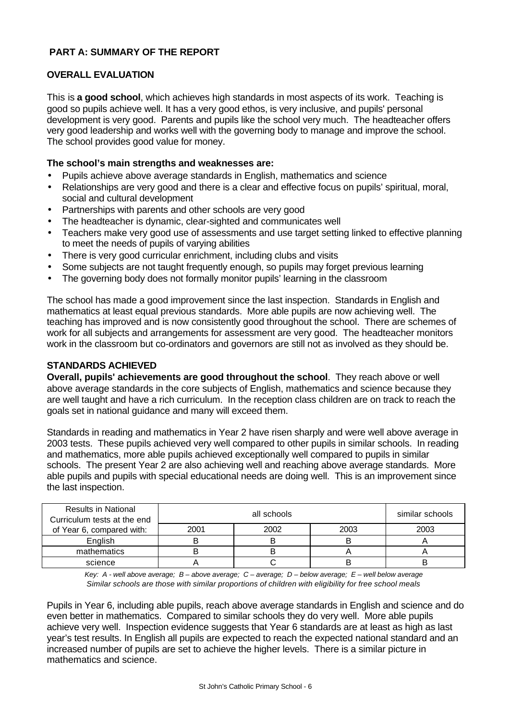## **PART A: SUMMARY OF THE REPORT**

### **OVERALL EVALUATION**

This is **a good school**, which achieves high standards in most aspects of its work. Teaching is good so pupils achieve well. It has a very good ethos, is very inclusive, and pupils' personal development is very good. Parents and pupils like the school very much. The headteacher offers very good leadership and works well with the governing body to manage and improve the school. The school provides good value for money.

### **The school's main strengths and weaknesses are:**

- Pupils achieve above average standards in English, mathematics and science
- Relationships are very good and there is a clear and effective focus on pupils' spiritual, moral, social and cultural development
- Partnerships with parents and other schools are very good
- The headteacher is dynamic, clear-sighted and communicates well
- Teachers make very good use of assessments and use target setting linked to effective planning to meet the needs of pupils of varying abilities
- There is very good curricular enrichment, including clubs and visits
- Some subjects are not taught frequently enough, so pupils may forget previous learning
- The governing body does not formally monitor pupils' learning in the classroom

The school has made a good improvement since the last inspection. Standards in English and mathematics at least equal previous standards. More able pupils are now achieving well. The teaching has improved and is now consistently good throughout the school. There are schemes of work for all subjects and arrangements for assessment are very good. The headteacher monitors work in the classroom but co-ordinators and governors are still not as involved as they should be.

### **STANDARDS ACHIEVED**

**Overall, pupils' achievements are good throughout the school**. They reach above or well above average standards in the core subjects of English, mathematics and science because they are well taught and have a rich curriculum. In the reception class children are on track to reach the goals set in national guidance and many will exceed them.

Standards in reading and mathematics in Year 2 have risen sharply and were well above average in 2003 tests. These pupils achieved very well compared to other pupils in similar schools. In reading and mathematics, more able pupils achieved exceptionally well compared to pupils in similar schools. The present Year 2 are also achieving well and reaching above average standards. More able pupils and pupils with special educational needs are doing well. This is an improvement since the last inspection.

| <b>Results in National</b><br>Curriculum tests at the end | all schools |      | similar schools |      |
|-----------------------------------------------------------|-------------|------|-----------------|------|
| of Year 6, compared with:                                 | 2001        | 2002 | 2003            | 2003 |
| English                                                   |             |      |                 |      |
| mathematics                                               |             |      |                 |      |
| science                                                   |             |      |                 |      |

*Key: A - well above average; B – above average; C – average; D – below average; E – well below average Similar schools are those with similar proportions of children with eligibility for free school meals*

Pupils in Year 6, including able pupils, reach above average standards in English and science and do even better in mathematics. Compared to similar schools they do very well. More able pupils achieve very well. Inspection evidence suggests that Year 6 standards are at least as high as last year's test results. In English all pupils are expected to reach the expected national standard and an increased number of pupils are set to achieve the higher levels. There is a similar picture in mathematics and science.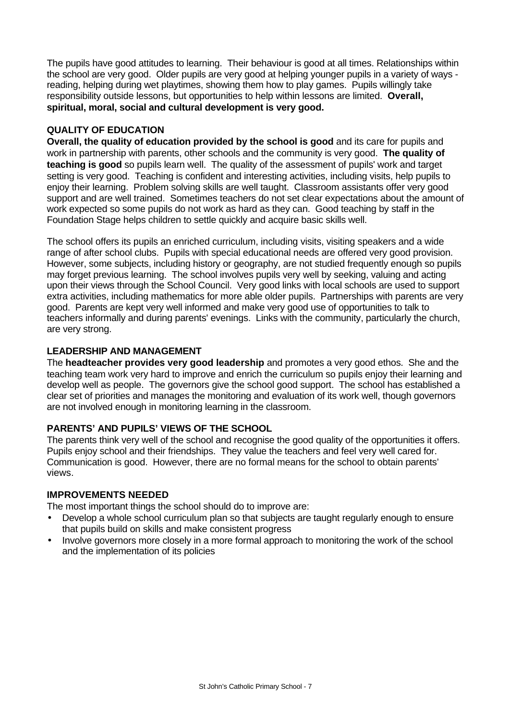The pupils have good attitudes to learning. Their behaviour is good at all times. Relationships within the school are very good. Older pupils are very good at helping younger pupils in a variety of ways reading, helping during wet playtimes, showing them how to play games. Pupils willingly take responsibility outside lessons, but opportunities to help within lessons are limited. **Overall, spiritual, moral, social and cultural development is very good.**

## **QUALITY OF EDUCATION**

**Overall, the quality of education provided by the school is good** and its care for pupils and work in partnership with parents, other schools and the community is very good. **The quality of teaching is good** so pupils learn well. The quality of the assessment of pupils' work and target setting is very good. Teaching is confident and interesting activities, including visits, help pupils to enjoy their learning. Problem solving skills are well taught. Classroom assistants offer very good support and are well trained. Sometimes teachers do not set clear expectations about the amount of work expected so some pupils do not work as hard as they can. Good teaching by staff in the Foundation Stage helps children to settle quickly and acquire basic skills well.

The school offers its pupils an enriched curriculum, including visits, visiting speakers and a wide range of after school clubs. Pupils with special educational needs are offered very good provision. However, some subjects, including history or geography, are not studied frequently enough so pupils may forget previous learning. The school involves pupils very well by seeking, valuing and acting upon their views through the School Council. Very good links with local schools are used to support extra activities, including mathematics for more able older pupils. Partnerships with parents are very good. Parents are kept very well informed and make very good use of opportunities to talk to teachers informally and during parents' evenings. Links with the community, particularly the church, are very strong.

### **LEADERSHIP AND MANAGEMENT**

The **headteacher provides very good leadership** and promotes a very good ethos. She and the teaching team work very hard to improve and enrich the curriculum so pupils enjoy their learning and develop well as people. The governors give the school good support. The school has established a clear set of priorities and manages the monitoring and evaluation of its work well, though governors are not involved enough in monitoring learning in the classroom.

### **PARENTS' AND PUPILS' VIEWS OF THE SCHOOL**

The parents think very well of the school and recognise the good quality of the opportunities it offers. Pupils enjoy school and their friendships. They value the teachers and feel very well cared for. Communication is good. However, there are no formal means for the school to obtain parents' views.

### **IMPROVEMENTS NEEDED**

The most important things the school should do to improve are:

- Develop a whole school curriculum plan so that subjects are taught regularly enough to ensure that pupils build on skills and make consistent progress
- Involve governors more closely in a more formal approach to monitoring the work of the school and the implementation of its policies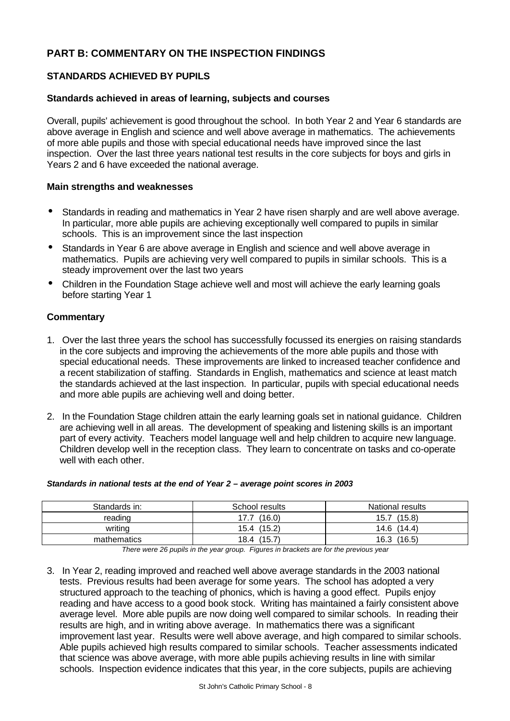# **PART B: COMMENTARY ON THE INSPECTION FINDINGS**

## **STANDARDS ACHIEVED BY PUPILS**

#### **Standards achieved in areas of learning, subjects and courses**

Overall, pupils' achievement is good throughout the school. In both Year 2 and Year 6 standards are above average in English and science and well above average in mathematics. The achievements of more able pupils and those with special educational needs have improved since the last inspection. Over the last three years national test results in the core subjects for boys and girls in Years 2 and 6 have exceeded the national average.

#### **Main strengths and weaknesses**

- Standards in reading and mathematics in Year 2 have risen sharply and are well above average. In particular, more able pupils are achieving exceptionally well compared to pupils in similar schools. This is an improvement since the last inspection
- Standards in Year 6 are above average in English and science and well above average in mathematics. Pupils are achieving very well compared to pupils in similar schools. This is a steady improvement over the last two years
- Children in the Foundation Stage achieve well and most will achieve the early learning goals before starting Year 1

#### **Commentary**

- 1. Over the last three years the school has successfully focussed its energies on raising standards in the core subjects and improving the achievements of the more able pupils and those with special educational needs. These improvements are linked to increased teacher confidence and a recent stabilization of staffing. Standards in English, mathematics and science at least match the standards achieved at the last inspection. In particular, pupils with special educational needs and more able pupils are achieving well and doing better.
- 2. In the Foundation Stage children attain the early learning goals set in national guidance. Children are achieving well in all areas. The development of speaking and listening skills is an important part of every activity. Teachers model language well and help children to acquire new language. Children develop well in the reception class. They learn to concentrate on tasks and co-operate well with each other.

#### *Standards in national tests at the end of Year 2 – average point scores in 2003*

| Standards in: | School results | National results |
|---------------|----------------|------------------|
| reading       | (16.0)<br>.7.7 | (15.8)<br>15.7   |
| writina       | 15.4 (15.2)    | 14.6 (14.4)      |
| mathematics   | (15.7)<br>18.4 | (16.5)<br>16.3   |

*There were 26 pupils in the year group. Figures in brackets are for the previous year*

3. In Year 2, reading improved and reached well above average standards in the 2003 national tests. Previous results had been average for some years. The school has adopted a very structured approach to the teaching of phonics, which is having a good effect. Pupils enjoy reading and have access to a good book stock. Writing has maintained a fairly consistent above average level. More able pupils are now doing well compared to similar schools. In reading their results are high, and in writing above average. In mathematics there was a significant improvement last year. Results were well above average, and high compared to similar schools. Able pupils achieved high results compared to similar schools. Teacher assessments indicated that science was above average, with more able pupils achieving results in line with similar schools. Inspection evidence indicates that this year, in the core subjects, pupils are achieving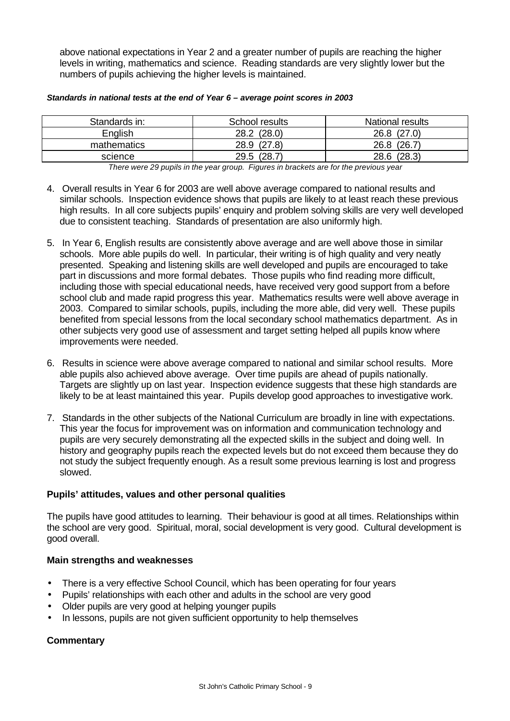above national expectations in Year 2 and a greater number of pupils are reaching the higher levels in writing, mathematics and science. Reading standards are very slightly lower but the numbers of pupils achieving the higher levels is maintained.

| Standards in: | School results | <b>National results</b> |
|---------------|----------------|-------------------------|
| English       | 28.2 (28.0)    | (27.0)<br>26.8          |
| mathematics   | 28.9 (27.8)    | (26.7)<br>26.8          |
| science       | (28.7)<br>29.5 | (28.3)<br>28.6          |

#### *Standards in national tests at the end of Year 6 – average point scores in 2003*

*There were 29 pupils in the year group. Figures in brackets are for the previous year*

- 4. Overall results in Year 6 for 2003 are well above average compared to national results and similar schools. Inspection evidence shows that pupils are likely to at least reach these previous high results. In all core subjects pupils' enquiry and problem solving skills are very well developed due to consistent teaching. Standards of presentation are also uniformly high.
- 5. In Year 6, English results are consistently above average and are well above those in similar schools. More able pupils do well. In particular, their writing is of high quality and very neatly presented. Speaking and listening skills are well developed and pupils are encouraged to take part in discussions and more formal debates. Those pupils who find reading more difficult, including those with special educational needs, have received very good support from a before school club and made rapid progress this year. Mathematics results were well above average in 2003. Compared to similar schools, pupils, including the more able, did very well. These pupils benefited from special lessons from the local secondary school mathematics department. As in other subjects very good use of assessment and target setting helped all pupils know where improvements were needed.
- 6. Results in science were above average compared to national and similar school results. More able pupils also achieved above average. Over time pupils are ahead of pupils nationally. Targets are slightly up on last year. Inspection evidence suggests that these high standards are likely to be at least maintained this year. Pupils develop good approaches to investigative work.
- 7. Standards in the other subjects of the National Curriculum are broadly in line with expectations. This year the focus for improvement was on information and communication technology and pupils are very securely demonstrating all the expected skills in the subject and doing well. In history and geography pupils reach the expected levels but do not exceed them because they do not study the subject frequently enough. As a result some previous learning is lost and progress slowed.

### **Pupils' attitudes, values and other personal qualities**

The pupils have good attitudes to learning. Their behaviour is good at all times. Relationships within the school are very good. Spiritual, moral, social development is very good. Cultural development is good overall.

### **Main strengths and weaknesses**

- There is a very effective School Council, which has been operating for four years
- Pupils' relationships with each other and adults in the school are very good
- Older pupils are very good at helping younger pupils
- In lessons, pupils are not given sufficient opportunity to help themselves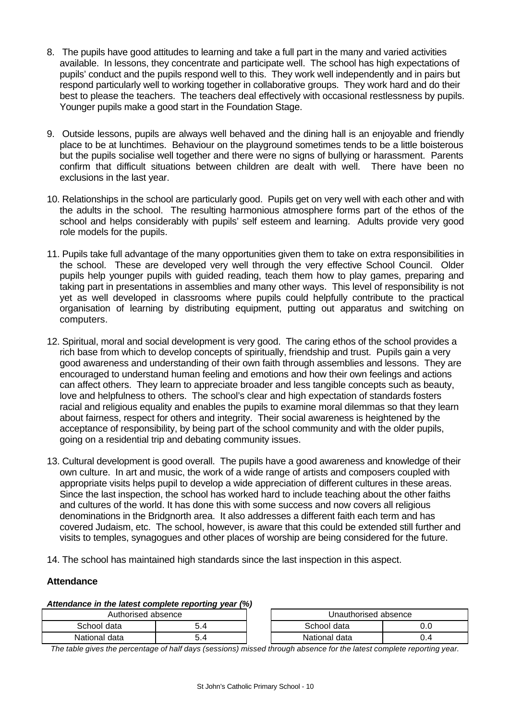- 8. The pupils have good attitudes to learning and take a full part in the many and varied activities available. In lessons, they concentrate and participate well. The school has high expectations of pupils' conduct and the pupils respond well to this. They work well independently and in pairs but respond particularly well to working together in collaborative groups. They work hard and do their best to please the teachers. The teachers deal effectively with occasional restlessness by pupils. Younger pupils make a good start in the Foundation Stage.
- 9. Outside lessons, pupils are always well behaved and the dining hall is an enjoyable and friendly place to be at lunchtimes. Behaviour on the playground sometimes tends to be a little boisterous but the pupils socialise well together and there were no signs of bullying or harassment. Parents confirm that difficult situations between children are dealt with well. There have been no exclusions in the last year.
- 10. Relationships in the school are particularly good. Pupils get on very well with each other and with the adults in the school. The resulting harmonious atmosphere forms part of the ethos of the school and helps considerably with pupils' self esteem and learning. Adults provide very good role models for the pupils.
- 11. Pupils take full advantage of the many opportunities given them to take on extra responsibilities in the school. These are developed very well through the very effective School Council. Older pupils help younger pupils with guided reading, teach them how to play games, preparing and taking part in presentations in assemblies and many other ways. This level of responsibility is not yet as well developed in classrooms where pupils could helpfully contribute to the practical organisation of learning by distributing equipment, putting out apparatus and switching on computers.
- 12. Spiritual, moral and social development is very good. The caring ethos of the school provides a rich base from which to develop concepts of spiritually, friendship and trust. Pupils gain a very good awareness and understanding of their own faith through assemblies and lessons. They are encouraged to understand human feeling and emotions and how their own feelings and actions can affect others. They learn to appreciate broader and less tangible concepts such as beauty, love and helpfulness to others. The school's clear and high expectation of standards fosters racial and religious equality and enables the pupils to examine moral dilemmas so that they learn about fairness, respect for others and integrity. Their social awareness is heightened by the acceptance of responsibility, by being part of the school community and with the older pupils, going on a residential trip and debating community issues.
- 13. Cultural development is good overall. The pupils have a good awareness and knowledge of their own culture. In art and music, the work of a wide range of artists and composers coupled with appropriate visits helps pupil to develop a wide appreciation of different cultures in these areas. Since the last inspection, the school has worked hard to include teaching about the other faiths and cultures of the world. It has done this with some success and now covers all religious denominations in the Bridgnorth area. It also addresses a different faith each term and has covered Judaism, etc. The school, however, is aware that this could be extended still further and visits to temples, synagogues and other places of worship are being considered for the future.
- 14. The school has maintained high standards since the last inspection in this aspect.

### **Attendance**

#### *Attendance in the latest complete reporting year (%)*

| Authorised absence |    |
|--------------------|----|
| School data        | 54 |
| National data      | 54 |

| Authorised absence |     | Unauthorised absence |     |
|--------------------|-----|----------------------|-----|
| School data        | 5.4 | School data          |     |
| National data      | 5.4 | National data        | 0.4 |

*The table gives the percentage of half days (sessions) missed through absence for the latest complete reporting year.*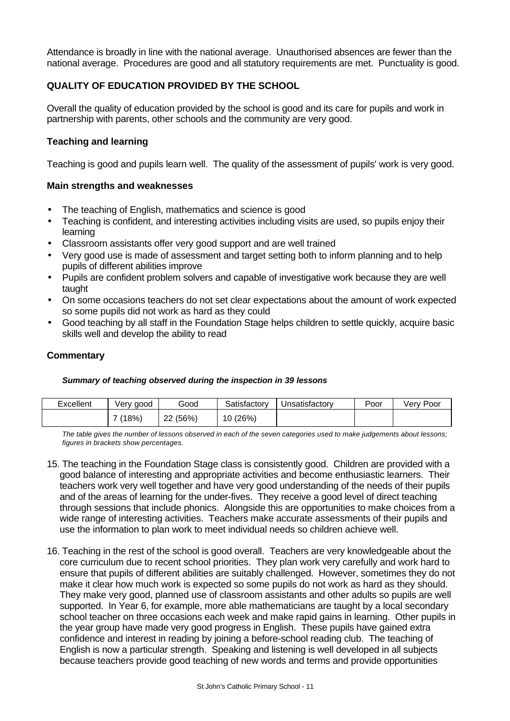Attendance is broadly in line with the national average. Unauthorised absences are fewer than the national average. Procedures are good and all statutory requirements are met. Punctuality is good.

## **QUALITY OF EDUCATION PROVIDED BY THE SCHOOL**

Overall the quality of education provided by the school is good and its care for pupils and work in partnership with parents, other schools and the community are very good.

### **Teaching and learning**

Teaching is good and pupils learn well. The quality of the assessment of pupils' work is very good.

### **Main strengths and weaknesses**

- The teaching of English, mathematics and science is good
- Teaching is confident, and interesting activities including visits are used, so pupils enjoy their learning
- Classroom assistants offer very good support and are well trained
- Very good use is made of assessment and target setting both to inform planning and to help pupils of different abilities improve
- Pupils are confident problem solvers and capable of investigative work because they are well taught
- On some occasions teachers do not set clear expectations about the amount of work expected so some pupils did not work as hard as they could
- Good teaching by all staff in the Foundation Stage helps children to settle quickly, acquire basic skills well and develop the ability to read

### **Commentary**

#### *Summary of teaching observed during the inspection in 39 lessons*

| Excellent | √erv<br>aood | Good              | Satisfactory | Unsatisfactory | Poor | Poor<br>verv |
|-----------|--------------|-------------------|--------------|----------------|------|--------------|
|           | (18%)        | (56%)<br>nn<br>∠∠ | 10 (26%)     |                |      |              |

*The table gives the number of lessons observed in each of the seven categories used to make judgements about lessons; figures in brackets show percentages.*

- 15. The teaching in the Foundation Stage class is consistently good. Children are provided with a good balance of interesting and appropriate activities and become enthusiastic learners. Their teachers work very well together and have very good understanding of the needs of their pupils and of the areas of learning for the under-fives. They receive a good level of direct teaching through sessions that include phonics. Alongside this are opportunities to make choices from a wide range of interesting activities. Teachers make accurate assessments of their pupils and use the information to plan work to meet individual needs so children achieve well.
- 16. Teaching in the rest of the school is good overall. Teachers are very knowledgeable about the core curriculum due to recent school priorities. They plan work very carefully and work hard to ensure that pupils of different abilities are suitably challenged. However, sometimes they do not make it clear how much work is expected so some pupils do not work as hard as they should. They make very good, planned use of classroom assistants and other adults so pupils are well supported. In Year 6, for example, more able mathematicians are taught by a local secondary school teacher on three occasions each week and make rapid gains in learning. Other pupils in the year group have made very good progress in English. These pupils have gained extra confidence and interest in reading by joining a before-school reading club. The teaching of English is now a particular strength. Speaking and listening is well developed in all subjects because teachers provide good teaching of new words and terms and provide opportunities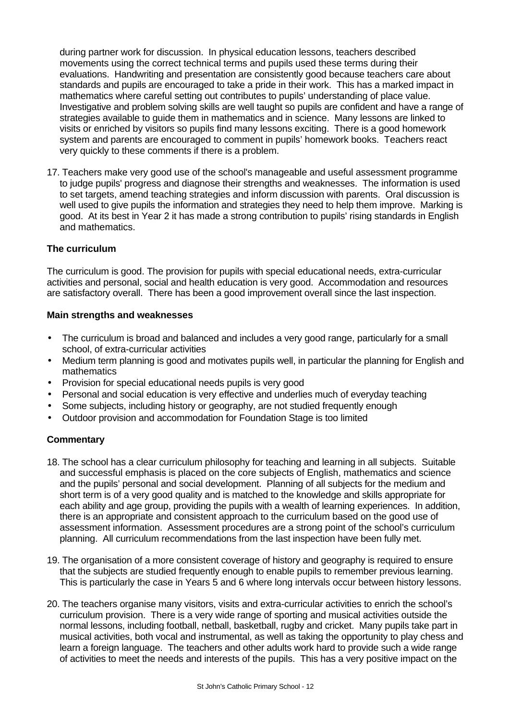during partner work for discussion. In physical education lessons, teachers described movements using the correct technical terms and pupils used these terms during their evaluations. Handwriting and presentation are consistently good because teachers care about standards and pupils are encouraged to take a pride in their work. This has a marked impact in mathematics where careful setting out contributes to pupils' understanding of place value. Investigative and problem solving skills are well taught so pupils are confident and have a range of strategies available to guide them in mathematics and in science. Many lessons are linked to visits or enriched by visitors so pupils find many lessons exciting. There is a good homework system and parents are encouraged to comment in pupils' homework books. Teachers react very quickly to these comments if there is a problem.

17. Teachers make very good use of the school's manageable and useful assessment programme to judge pupils' progress and diagnose their strengths and weaknesses. The information is used to set targets, amend teaching strategies and inform discussion with parents. Oral discussion is well used to give pupils the information and strategies they need to help them improve. Marking is good. At its best in Year 2 it has made a strong contribution to pupils' rising standards in English and mathematics.

## **The curriculum**

The curriculum is good. The provision for pupils with special educational needs, extra-curricular activities and personal, social and health education is very good. Accommodation and resources are satisfactory overall. There has been a good improvement overall since the last inspection.

#### **Main strengths and weaknesses**

- The curriculum is broad and balanced and includes a very good range, particularly for a small school, of extra-curricular activities
- Medium term planning is good and motivates pupils well, in particular the planning for English and mathematics
- Provision for special educational needs pupils is very good
- Personal and social education is very effective and underlies much of everyday teaching
- Some subjects, including history or geography, are not studied frequently enough
- Outdoor provision and accommodation for Foundation Stage is too limited

- 18. The school has a clear curriculum philosophy for teaching and learning in all subjects. Suitable and successful emphasis is placed on the core subjects of English, mathematics and science and the pupils' personal and social development. Planning of all subjects for the medium and short term is of a very good quality and is matched to the knowledge and skills appropriate for each ability and age group, providing the pupils with a wealth of learning experiences. In addition, there is an appropriate and consistent approach to the curriculum based on the good use of assessment information. Assessment procedures are a strong point of the school's curriculum planning. All curriculum recommendations from the last inspection have been fully met.
- 19. The organisation of a more consistent coverage of history and geography is required to ensure that the subjects are studied frequently enough to enable pupils to remember previous learning. This is particularly the case in Years 5 and 6 where long intervals occur between history lessons.
- 20. The teachers organise many visitors, visits and extra-curricular activities to enrich the school's curriculum provision. There is a very wide range of sporting and musical activities outside the normal lessons, including football, netball, basketball, rugby and cricket. Many pupils take part in musical activities, both vocal and instrumental, as well as taking the opportunity to play chess and learn a foreign language. The teachers and other adults work hard to provide such a wide range of activities to meet the needs and interests of the pupils. This has a very positive impact on the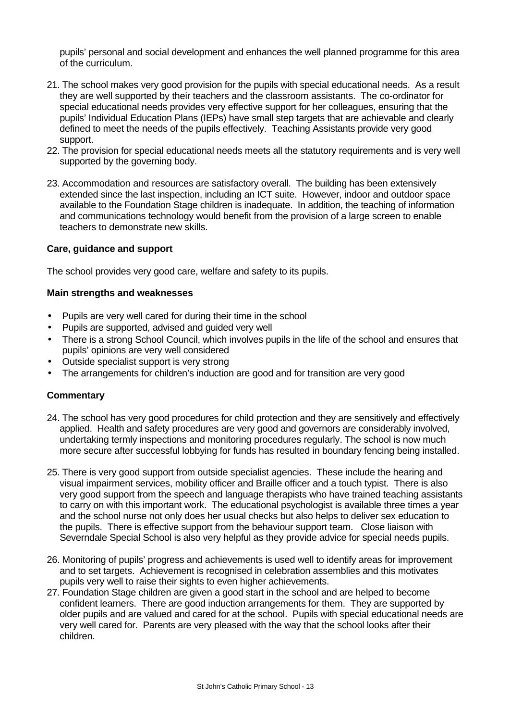pupils' personal and social development and enhances the well planned programme for this area of the curriculum.

- 21. The school makes very good provision for the pupils with special educational needs. As a result they are well supported by their teachers and the classroom assistants. The co-ordinator for special educational needs provides very effective support for her colleagues, ensuring that the pupils' Individual Education Plans (IEPs) have small step targets that are achievable and clearly defined to meet the needs of the pupils effectively. Teaching Assistants provide very good support.
- 22. The provision for special educational needs meets all the statutory requirements and is very well supported by the governing body.
- 23. Accommodation and resources are satisfactory overall. The building has been extensively extended since the last inspection, including an ICT suite. However, indoor and outdoor space available to the Foundation Stage children is inadequate. In addition, the teaching of information and communications technology would benefit from the provision of a large screen to enable teachers to demonstrate new skills.

#### **Care, guidance and support**

The school provides very good care, welfare and safety to its pupils.

#### **Main strengths and weaknesses**

- Pupils are very well cared for during their time in the school
- Pupils are supported, advised and guided very well
- There is a strong School Council, which involves pupils in the life of the school and ensures that pupils' opinions are very well considered
- Outside specialist support is very strong
- The arrangements for children's induction are good and for transition are very good

- 24. The school has very good procedures for child protection and they are sensitively and effectively applied. Health and safety procedures are very good and governors are considerably involved, undertaking termly inspections and monitoring procedures regularly. The school is now much more secure after successful lobbying for funds has resulted in boundary fencing being installed.
- 25. There is very good support from outside specialist agencies. These include the hearing and visual impairment services, mobility officer and Braille officer and a touch typist. There is also very good support from the speech and language therapists who have trained teaching assistants to carry on with this important work. The educational psychologist is available three times a year and the school nurse not only does her usual checks but also helps to deliver sex education to the pupils. There is effective support from the behaviour support team. Close liaison with Severndale Special School is also very helpful as they provide advice for special needs pupils.
- 26. Monitoring of pupils' progress and achievements is used well to identify areas for improvement and to set targets. Achievement is recognised in celebration assemblies and this motivates pupils very well to raise their sights to even higher achievements.
- 27. Foundation Stage children are given a good start in the school and are helped to become confident learners. There are good induction arrangements for them. They are supported by older pupils and are valued and cared for at the school. Pupils with special educational needs are very well cared for. Parents are very pleased with the way that the school looks after their children.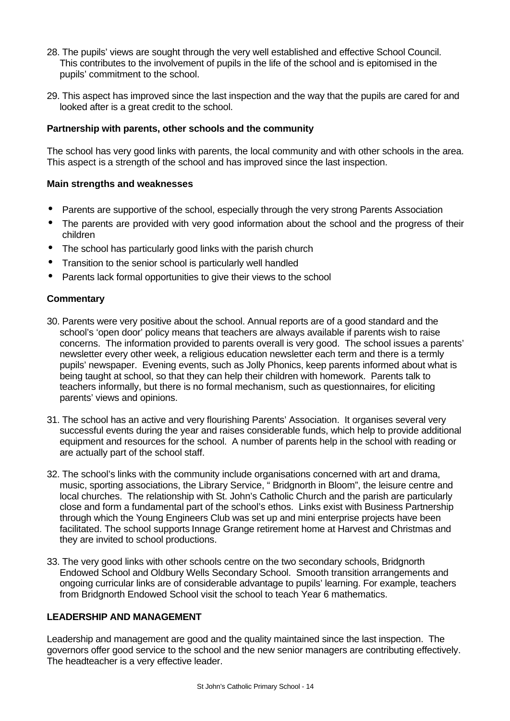- 28. The pupils' views are sought through the very well established and effective School Council. This contributes to the involvement of pupils in the life of the school and is epitomised in the pupils' commitment to the school.
- 29. This aspect has improved since the last inspection and the way that the pupils are cared for and looked after is a great credit to the school.

### **Partnership with parents, other schools and the community**

The school has very good links with parents, the local community and with other schools in the area. This aspect is a strength of the school and has improved since the last inspection.

#### **Main strengths and weaknesses**

- Parents are supportive of the school, especially through the very strong Parents Association
- The parents are provided with very good information about the school and the progress of their children
- The school has particularly good links with the parish church
- Transition to the senior school is particularly well handled
- Parents lack formal opportunities to give their views to the school

### **Commentary**

- 30. Parents were very positive about the school. Annual reports are of a good standard and the school's 'open door' policy means that teachers are always available if parents wish to raise concerns. The information provided to parents overall is very good. The school issues a parents' newsletter every other week, a religious education newsletter each term and there is a termly pupils' newspaper. Evening events, such as Jolly Phonics, keep parents informed about what is being taught at school, so that they can help their children with homework. Parents talk to teachers informally, but there is no formal mechanism, such as questionnaires, for eliciting parents' views and opinions.
- 31. The school has an active and very flourishing Parents' Association. It organises several very successful events during the year and raises considerable funds, which help to provide additional equipment and resources for the school. A number of parents help in the school with reading or are actually part of the school staff.
- 32. The school's links with the community include organisations concerned with art and drama, music, sporting associations, the Library Service, " Bridgnorth in Bloom", the leisure centre and local churches. The relationship with St. John's Catholic Church and the parish are particularly close and form a fundamental part of the school's ethos. Links exist with Business Partnership through which the Young Engineers Club was set up and mini enterprise projects have been facilitated. The school supports Innage Grange retirement home at Harvest and Christmas and they are invited to school productions.
- 33. The very good links with other schools centre on the two secondary schools, Bridgnorth Endowed School and Oldbury Wells Secondary School. Smooth transition arrangements and ongoing curricular links are of considerable advantage to pupils' learning. For example, teachers from Bridgnorth Endowed School visit the school to teach Year 6 mathematics.

### **LEADERSHIP AND MANAGEMENT**

Leadership and management are good and the quality maintained since the last inspection. The governors offer good service to the school and the new senior managers are contributing effectively. The headteacher is a very effective leader.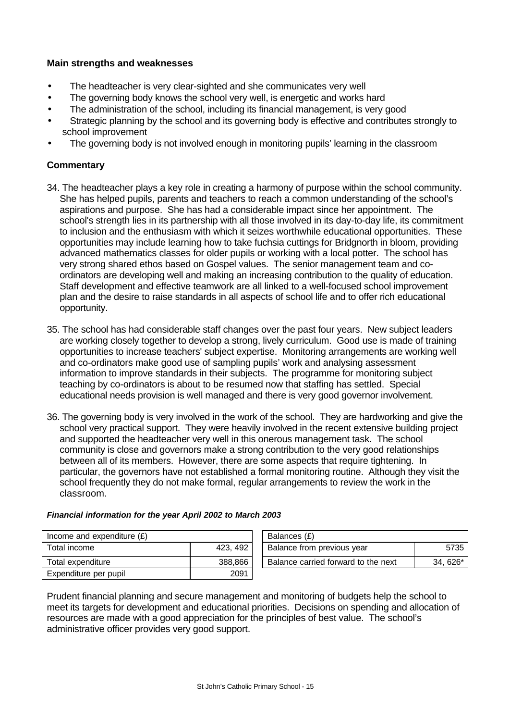### **Main strengths and weaknesses**

- The headteacher is very clear-sighted and she communicates very well
- The governing body knows the school very well, is energetic and works hard
- The administration of the school, including its financial management, is very good
- Strategic planning by the school and its governing body is effective and contributes strongly to school improvement
- The governing body is not involved enough in monitoring pupils' learning in the classroom

## **Commentary**

- 34. The headteacher plays a key role in creating a harmony of purpose within the school community. She has helped pupils, parents and teachers to reach a common understanding of the school's aspirations and purpose. She has had a considerable impact since her appointment. The school's strength lies in its partnership with all those involved in its day-to-day life, its commitment to inclusion and the enthusiasm with which it seizes worthwhile educational opportunities. These opportunities may include learning how to take fuchsia cuttings for Bridgnorth in bloom, providing advanced mathematics classes for older pupils or working with a local potter. The school has very strong shared ethos based on Gospel values. The senior management team and coordinators are developing well and making an increasing contribution to the quality of education. Staff development and effective teamwork are all linked to a well-focused school improvement plan and the desire to raise standards in all aspects of school life and to offer rich educational opportunity.
- 35. The school has had considerable staff changes over the past four years. New subject leaders are working closely together to develop a strong, lively curriculum. Good use is made of training opportunities to increase teachers' subject expertise. Monitoring arrangements are working well and co-ordinators make good use of sampling pupils' work and analysing assessment information to improve standards in their subjects. The programme for monitoring subject teaching by co-ordinators is about to be resumed now that staffing has settled. Special educational needs provision is well managed and there is very good governor involvement.
- 36. The governing body is very involved in the work of the school. They are hardworking and give the school very practical support. They were heavily involved in the recent extensive building project and supported the headteacher very well in this onerous management task. The school community is close and governors make a strong contribution to the very good relationships between all of its members. However, there are some aspects that require tightening. In particular, the governors have not established a formal monitoring routine. Although they visit the school frequently they do not make formal, regular arrangements to review the work in the classroom.

| Income and expenditure $(E)$ |          | Balances (£)                        |         |
|------------------------------|----------|-------------------------------------|---------|
| Total income                 | 423, 492 | Balance from previous year          | 5735    |
| Total expenditure            | 388.866  | Balance carried forward to the next | 34.626* |
| Expenditure per pupil        | 2091     |                                     |         |

| Balances (£)                        |           |
|-------------------------------------|-----------|
| Balance from previous year          | 5735      |
| Balance carried forward to the next | $34.626*$ |

### *Financial information for the year April 2002 to March 2003*

Prudent financial planning and secure management and monitoring of budgets help the school to meet its targets for development and educational priorities. Decisions on spending and allocation of resources are made with a good appreciation for the principles of best value. The school's administrative officer provides very good support.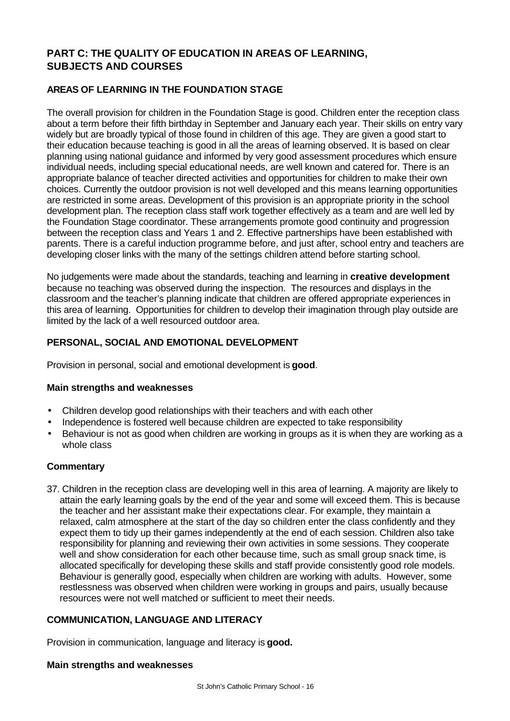# **PART C: THE QUALITY OF EDUCATION IN AREAS OF LEARNING, SUBJECTS AND COURSES**

## **AREAS OF LEARNING IN THE FOUNDATION STAGE**

The overall provision for children in the Foundation Stage is good. Children enter the reception class about a term before their fifth birthday in September and January each year. Their skills on entry vary widely but are broadly typical of those found in children of this age. They are given a good start to their education because teaching is good in all the areas of learning observed. It is based on clear planning using national guidance and informed by very good assessment procedures which ensure individual needs, including special educational needs, are well known and catered for. There is an appropriate balance of teacher directed activities and opportunities for children to make their own choices. Currently the outdoor provision is not well developed and this means learning opportunities are restricted in some areas. Development of this provision is an appropriate priority in the school development plan. The reception class staff work together effectively as a team and are well led by the Foundation Stage coordinator. These arrangements promote good continuity and progression between the reception class and Years 1 and 2. Effective partnerships have been established with parents. There is a careful induction programme before, and just after, school entry and teachers are developing closer links with the many of the settings children attend before starting school.

No judgements were made about the standards, teaching and learning in **creative development** because no teaching was observed during the inspection. The resources and displays in the classroom and the teacher's planning indicate that children are offered appropriate experiences in this area of learning. Opportunities for children to develop their imagination through play outside are limited by the lack of a well resourced outdoor area.

# **PERSONAL, SOCIAL AND EMOTIONAL DEVELOPMENT**

Provision in personal, social and emotional development is **good**.

### **Main strengths and weaknesses**

- Children develop good relationships with their teachers and with each other
- Independence is fostered well because children are expected to take responsibility
- Behaviour is not as good when children are working in groups as it is when they are working as a whole class

### **Commentary**

37. Children in the reception class are developing well in this area of learning. A majority are likely to attain the early learning goals by the end of the year and some will exceed them. This is because the teacher and her assistant make their expectations clear. For example, they maintain a relaxed, calm atmosphere at the start of the day so children enter the class confidently and they expect them to tidy up their games independently at the end of each session. Children also take responsibility for planning and reviewing their own activities in some sessions. They cooperate well and show consideration for each other because time, such as small group snack time, is allocated specifically for developing these skills and staff provide consistently good role models. Behaviour is generally good, especially when children are working with adults. However, some restlessness was observed when children were working in groups and pairs, usually because resources were not well matched or sufficient to meet their needs.

### **COMMUNICATION, LANGUAGE AND LITERACY**

Provision in communication, language and literacy is **good.**

#### **Main strengths and weaknesses**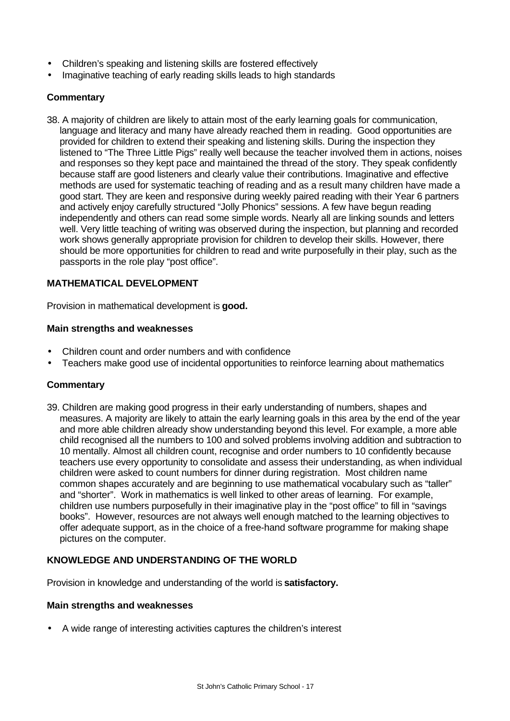- Children's speaking and listening skills are fostered effectively
- Imaginative teaching of early reading skills leads to high standards

## **Commentary**

38. A majority of children are likely to attain most of the early learning goals for communication, language and literacy and many have already reached them in reading. Good opportunities are provided for children to extend their speaking and listening skills. During the inspection they listened to "The Three Little Pigs" really well because the teacher involved them in actions, noises and responses so they kept pace and maintained the thread of the story. They speak confidently because staff are good listeners and clearly value their contributions. Imaginative and effective methods are used for systematic teaching of reading and as a result many children have made a good start. They are keen and responsive during weekly paired reading with their Year 6 partners and actively enjoy carefully structured "Jolly Phonics" sessions. A few have begun reading independently and others can read some simple words. Nearly all are linking sounds and letters well. Very little teaching of writing was observed during the inspection, but planning and recorded work shows generally appropriate provision for children to develop their skills. However, there should be more opportunities for children to read and write purposefully in their play, such as the passports in the role play "post office".

## **MATHEMATICAL DEVELOPMENT**

Provision in mathematical development is **good.**

#### **Main strengths and weaknesses**

- Children count and order numbers and with confidence
- Teachers make good use of incidental opportunities to reinforce learning about mathematics

### **Commentary**

39. Children are making good progress in their early understanding of numbers, shapes and measures. A majority are likely to attain the early learning goals in this area by the end of the year and more able children already show understanding beyond this level. For example, a more able child recognised all the numbers to 100 and solved problems involving addition and subtraction to 10 mentally. Almost all children count, recognise and order numbers to 10 confidently because teachers use every opportunity to consolidate and assess their understanding, as when individual children were asked to count numbers for dinner during registration. Most children name common shapes accurately and are beginning to use mathematical vocabulary such as "taller" and "shorter". Work in mathematics is well linked to other areas of learning. For example, children use numbers purposefully in their imaginative play in the "post office" to fill in "savings books". However, resources are not always well enough matched to the learning objectives to offer adequate support, as in the choice of a free-hand software programme for making shape pictures on the computer.

### **KNOWLEDGE AND UNDERSTANDING OF THE WORLD**

Provision in knowledge and understanding of the world is **satisfactory.**

#### **Main strengths and weaknesses**

• A wide range of interesting activities captures the children's interest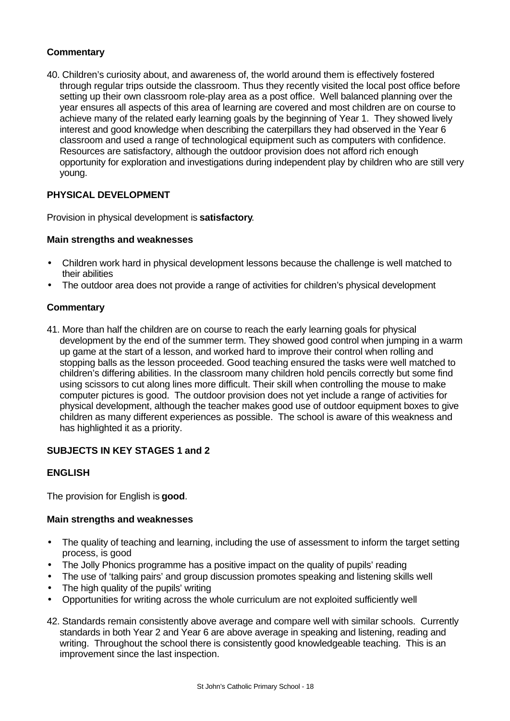## **Commentary**

40. Children's curiosity about, and awareness of, the world around them is effectively fostered through regular trips outside the classroom. Thus they recently visited the local post office before setting up their own classroom role-play area as a post office. Well balanced planning over the year ensures all aspects of this area of learning are covered and most children are on course to achieve many of the related early learning goals by the beginning of Year 1. They showed lively interest and good knowledge when describing the caterpillars they had observed in the Year 6 classroom and used a range of technological equipment such as computers with confidence. Resources are satisfactory, although the outdoor provision does not afford rich enough opportunity for exploration and investigations during independent play by children who are still very young.

## **PHYSICAL DEVELOPMENT**

Provision in physical development is **satisfactory**.

### **Main strengths and weaknesses**

- Children work hard in physical development lessons because the challenge is well matched to their abilities
- The outdoor area does not provide a range of activities for children's physical development

### **Commentary**

41. More than half the children are on course to reach the early learning goals for physical development by the end of the summer term. They showed good control when jumping in a warm up game at the start of a lesson, and worked hard to improve their control when rolling and stopping balls as the lesson proceeded. Good teaching ensured the tasks were well matched to children's differing abilities. In the classroom many children hold pencils correctly but some find using scissors to cut along lines more difficult. Their skill when controlling the mouse to make computer pictures is good. The outdoor provision does not yet include a range of activities for physical development, although the teacher makes good use of outdoor equipment boxes to give children as many different experiences as possible. The school is aware of this weakness and has highlighted it as a priority.

### **SUBJECTS IN KEY STAGES 1 and 2**

### **ENGLISH**

The provision for English is **good**.

### **Main strengths and weaknesses**

- The quality of teaching and learning, including the use of assessment to inform the target setting process, is good
- The Jolly Phonics programme has a positive impact on the quality of pupils' reading
- The use of 'talking pairs' and group discussion promotes speaking and listening skills well
- The high quality of the pupils' writing
- Opportunities for writing across the whole curriculum are not exploited sufficiently well
- 42. Standards remain consistently above average and compare well with similar schools. Currently standards in both Year 2 and Year 6 are above average in speaking and listening, reading and writing. Throughout the school there is consistently good knowledgeable teaching. This is an improvement since the last inspection.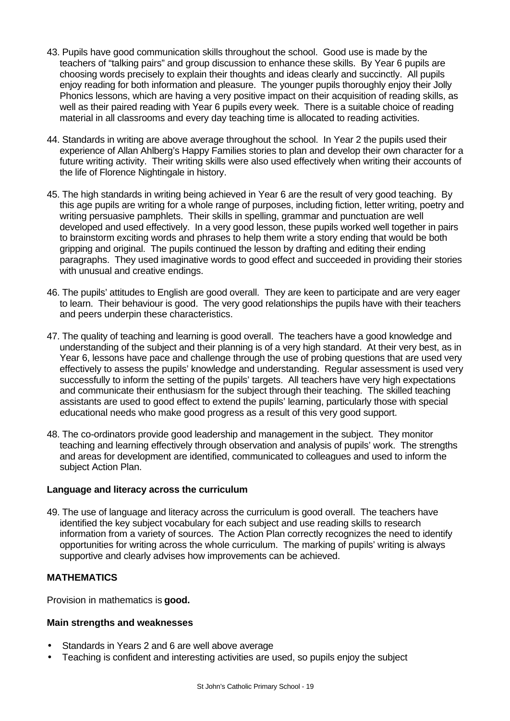- 43. Pupils have good communication skills throughout the school. Good use is made by the teachers of "talking pairs" and group discussion to enhance these skills. By Year 6 pupils are choosing words precisely to explain their thoughts and ideas clearly and succinctly. All pupils enjoy reading for both information and pleasure. The younger pupils thoroughly enjoy their Jolly Phonics lessons, which are having a very positive impact on their acquisition of reading skills, as well as their paired reading with Year 6 pupils every week. There is a suitable choice of reading material in all classrooms and every day teaching time is allocated to reading activities.
- 44. Standards in writing are above average throughout the school. In Year 2 the pupils used their experience of Allan Ahlberg's Happy Families stories to plan and develop their own character for a future writing activity. Their writing skills were also used effectively when writing their accounts of the life of Florence Nightingale in history.
- 45. The high standards in writing being achieved in Year 6 are the result of very good teaching. By this age pupils are writing for a whole range of purposes, including fiction, letter writing, poetry and writing persuasive pamphlets. Their skills in spelling, grammar and punctuation are well developed and used effectively. In a very good lesson, these pupils worked well together in pairs to brainstorm exciting words and phrases to help them write a story ending that would be both gripping and original. The pupils continued the lesson by drafting and editing their ending paragraphs. They used imaginative words to good effect and succeeded in providing their stories with unusual and creative endings.
- 46. The pupils' attitudes to English are good overall. They are keen to participate and are very eager to learn. Their behaviour is good. The very good relationships the pupils have with their teachers and peers underpin these characteristics.
- 47. The quality of teaching and learning is good overall. The teachers have a good knowledge and understanding of the subject and their planning is of a very high standard. At their very best, as in Year 6, lessons have pace and challenge through the use of probing questions that are used very effectively to assess the pupils' knowledge and understanding. Regular assessment is used very successfully to inform the setting of the pupils' targets. All teachers have very high expectations and communicate their enthusiasm for the subject through their teaching. The skilled teaching assistants are used to good effect to extend the pupils' learning, particularly those with special educational needs who make good progress as a result of this very good support.
- 48. The co-ordinators provide good leadership and management in the subject. They monitor teaching and learning effectively through observation and analysis of pupils' work. The strengths and areas for development are identified, communicated to colleagues and used to inform the subject Action Plan.

### **Language and literacy across the curriculum**

49. The use of language and literacy across the curriculum is good overall. The teachers have identified the key subject vocabulary for each subject and use reading skills to research information from a variety of sources. The Action Plan correctly recognizes the need to identify opportunities for writing across the whole curriculum. The marking of pupils' writing is always supportive and clearly advises how improvements can be achieved.

### **MATHEMATICS**

Provision in mathematics is **good.**

### **Main strengths and weaknesses**

- Standards in Years 2 and 6 are well above average
- Teaching is confident and interesting activities are used, so pupils enjoy the subject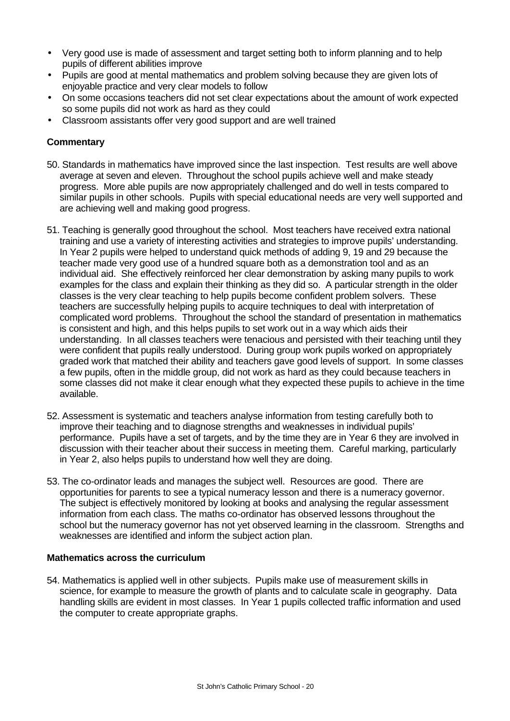- Very good use is made of assessment and target setting both to inform planning and to help pupils of different abilities improve
- Pupils are good at mental mathematics and problem solving because they are given lots of enjoyable practice and very clear models to follow
- On some occasions teachers did not set clear expectations about the amount of work expected so some pupils did not work as hard as they could
- Classroom assistants offer very good support and are well trained

## **Commentary**

- 50. Standards in mathematics have improved since the last inspection. Test results are well above average at seven and eleven. Throughout the school pupils achieve well and make steady progress. More able pupils are now appropriately challenged and do well in tests compared to similar pupils in other schools. Pupils with special educational needs are very well supported and are achieving well and making good progress.
- 51. Teaching is generally good throughout the school. Most teachers have received extra national training and use a variety of interesting activities and strategies to improve pupils' understanding. In Year 2 pupils were helped to understand quick methods of adding 9, 19 and 29 because the teacher made very good use of a hundred square both as a demonstration tool and as an individual aid. She effectively reinforced her clear demonstration by asking many pupils to work examples for the class and explain their thinking as they did so. A particular strength in the older classes is the very clear teaching to help pupils become confident problem solvers. These teachers are successfully helping pupils to acquire techniques to deal with interpretation of complicated word problems. Throughout the school the standard of presentation in mathematics is consistent and high, and this helps pupils to set work out in a way which aids their understanding. In all classes teachers were tenacious and persisted with their teaching until they were confident that pupils really understood. During group work pupils worked on appropriately graded work that matched their ability and teachers gave good levels of support. In some classes a few pupils, often in the middle group, did not work as hard as they could because teachers in some classes did not make it clear enough what they expected these pupils to achieve in the time available.
- 52. Assessment is systematic and teachers analyse information from testing carefully both to improve their teaching and to diagnose strengths and weaknesses in individual pupils' performance. Pupils have a set of targets, and by the time they are in Year 6 they are involved in discussion with their teacher about their success in meeting them. Careful marking, particularly in Year 2, also helps pupils to understand how well they are doing.
- 53. The co-ordinator leads and manages the subject well. Resources are good. There are opportunities for parents to see a typical numeracy lesson and there is a numeracy governor. The subject is effectively monitored by looking at books and analysing the regular assessment information from each class. The maths co-ordinator has observed lessons throughout the school but the numeracy governor has not yet observed learning in the classroom. Strengths and weaknesses are identified and inform the subject action plan.

### **Mathematics across the curriculum**

54. Mathematics is applied well in other subjects. Pupils make use of measurement skills in science, for example to measure the growth of plants and to calculate scale in geography. Data handling skills are evident in most classes. In Year 1 pupils collected traffic information and used the computer to create appropriate graphs.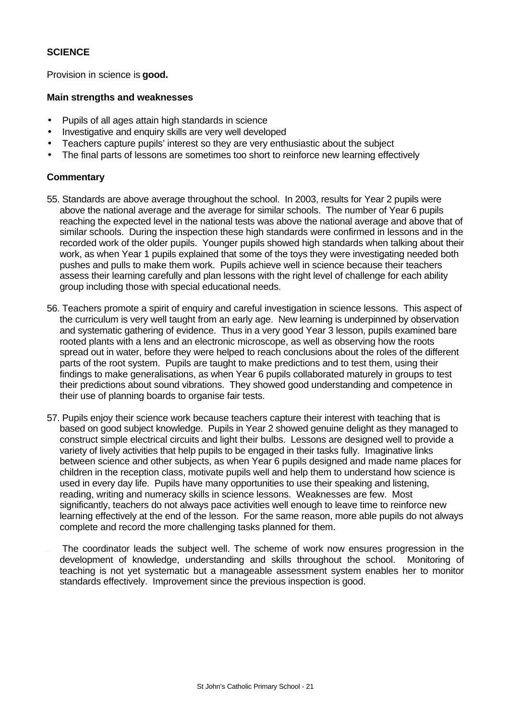### **SCIENCE**

Provision in science is **good.**

#### **Main strengths and weaknesses**

- Pupils of all ages attain high standards in science
- Investigative and enquiry skills are very well developed
- Teachers capture pupils' interest so they are very enthusiastic about the subject
- The final parts of lessons are sometimes too short to reinforce new learning effectively

- 55. Standards are above average throughout the school. In 2003, results for Year 2 pupils were above the national average and the average for similar schools. The number of Year 6 pupils reaching the expected level in the national tests was above the national average and above that of similar schools. During the inspection these high standards were confirmed in lessons and in the recorded work of the older pupils. Younger pupils showed high standards when talking about their work, as when Year 1 pupils explained that some of the toys they were investigating needed both pushes and pulls to make them work. Pupils achieve well in science because their teachers assess their learning carefully and plan lessons with the right level of challenge for each ability group including those with special educational needs.
- 56. Teachers promote a spirit of enquiry and careful investigation in science lessons. This aspect of the curriculum is very well taught from an early age. New learning is underpinned by observation and systematic gathering of evidence. Thus in a very good Year 3 lesson, pupils examined bare rooted plants with a lens and an electronic microscope, as well as observing how the roots spread out in water, before they were helped to reach conclusions about the roles of the different parts of the root system. Pupils are taught to make predictions and to test them, using their findings to make generalisations, as when Year 6 pupils collaborated maturely in groups to test their predictions about sound vibrations. They showed good understanding and competence in their use of planning boards to organise fair tests.
- 57. Pupils enjoy their science work because teachers capture their interest with teaching that is based on good subject knowledge. Pupils in Year 2 showed genuine delight as they managed to construct simple electrical circuits and light their bulbs. Lessons are designed well to provide a variety of lively activities that help pupils to be engaged in their tasks fully. Imaginative links between science and other subjects, as when Year 6 pupils designed and made name places for children in the reception class, motivate pupils well and help them to understand how science is used in every day life. Pupils have many opportunities to use their speaking and listening, reading, writing and numeracy skills in science lessons. Weaknesses are few. Most significantly, teachers do not always pace activities well enough to leave time to reinforce new learning effectively at the end of the lesson. For the same reason, more able pupils do not always complete and record the more challenging tasks planned for them.
	- The coordinator leads the subject well. The scheme of work now ensures progression in the development of knowledge, understanding and skills throughout the school. Monitoring of teaching is not yet systematic but a manageable assessment system enables her to monitor standards effectively. Improvement since the previous inspection is good.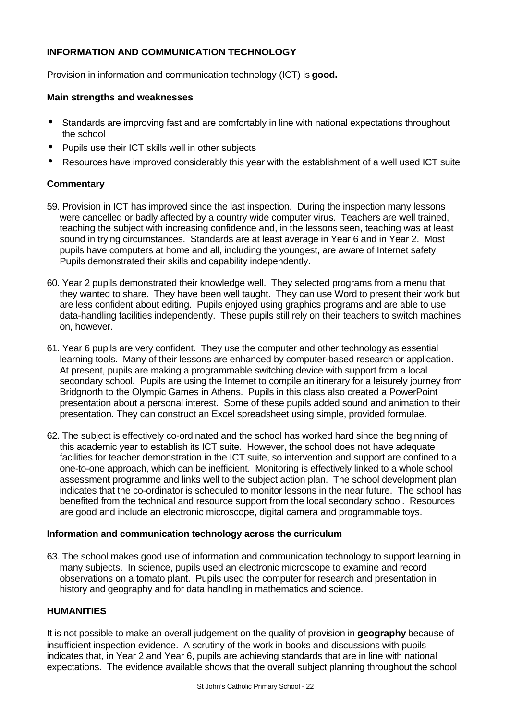## **INFORMATION AND COMMUNICATION TECHNOLOGY**

Provision in information and communication technology (ICT) is **good.**

### **Main strengths and weaknesses**

- Standards are improving fast and are comfortably in line with national expectations throughout the school
- Pupils use their ICT skills well in other subjects
- Resources have improved considerably this year with the establishment of a well used ICT suite

## **Commentary**

- 59. Provision in ICT has improved since the last inspection. During the inspection many lessons were cancelled or badly affected by a country wide computer virus. Teachers are well trained, teaching the subject with increasing confidence and, in the lessons seen, teaching was at least sound in trying circumstances. Standards are at least average in Year 6 and in Year 2. Most pupils have computers at home and all, including the youngest, are aware of Internet safety. Pupils demonstrated their skills and capability independently.
- 60. Year 2 pupils demonstrated their knowledge well. They selected programs from a menu that they wanted to share. They have been well taught. They can use Word to present their work but are less confident about editing. Pupils enjoyed using graphics programs and are able to use data-handling facilities independently. These pupils still rely on their teachers to switch machines on, however.
- 61. Year 6 pupils are very confident. They use the computer and other technology as essential learning tools. Many of their lessons are enhanced by computer-based research or application. At present, pupils are making a programmable switching device with support from a local secondary school. Pupils are using the Internet to compile an itinerary for a leisurely journey from Bridgnorth to the Olympic Games in Athens. Pupils in this class also created a PowerPoint presentation about a personal interest. Some of these pupils added sound and animation to their presentation. They can construct an Excel spreadsheet using simple, provided formulae.
- 62. The subject is effectively co-ordinated and the school has worked hard since the beginning of this academic year to establish its ICT suite. However, the school does not have adequate facilities for teacher demonstration in the ICT suite, so intervention and support are confined to a one-to-one approach, which can be inefficient. Monitoring is effectively linked to a whole school assessment programme and links well to the subject action plan. The school development plan indicates that the co-ordinator is scheduled to monitor lessons in the near future. The school has benefited from the technical and resource support from the local secondary school. Resources are good and include an electronic microscope, digital camera and programmable toys.

### **Information and communication technology across the curriculum**

63. The school makes good use of information and communication technology to support learning in many subjects. In science, pupils used an electronic microscope to examine and record observations on a tomato plant. Pupils used the computer for research and presentation in history and geography and for data handling in mathematics and science.

### **HUMANITIES**

It is not possible to make an overall judgement on the quality of provision in **geography** because of insufficient inspection evidence. A scrutiny of the work in books and discussions with pupils indicates that, in Year 2 and Year 6, pupils are achieving standards that are in line with national expectations. The evidence available shows that the overall subject planning throughout the school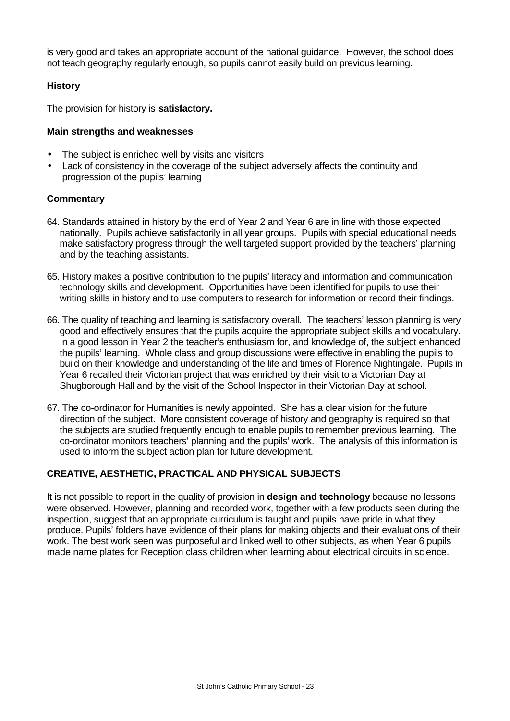is very good and takes an appropriate account of the national guidance. However, the school does not teach geography regularly enough, so pupils cannot easily build on previous learning.

## **History**

The provision for history is **satisfactory.**

## **Main strengths and weaknesses**

- The subject is enriched well by visits and visitors
- Lack of consistency in the coverage of the subject adversely affects the continuity and progression of the pupils' learning

## **Commentary**

- 64. Standards attained in history by the end of Year 2 and Year 6 are in line with those expected nationally. Pupils achieve satisfactorily in all year groups. Pupils with special educational needs make satisfactory progress through the well targeted support provided by the teachers' planning and by the teaching assistants.
- 65. History makes a positive contribution to the pupils' literacy and information and communication technology skills and development. Opportunities have been identified for pupils to use their writing skills in history and to use computers to research for information or record their findings.
- 66. The quality of teaching and learning is satisfactory overall. The teachers' lesson planning is very good and effectively ensures that the pupils acquire the appropriate subject skills and vocabulary. In a good lesson in Year 2 the teacher's enthusiasm for, and knowledge of, the subject enhanced the pupils' learning. Whole class and group discussions were effective in enabling the pupils to build on their knowledge and understanding of the life and times of Florence Nightingale. Pupils in Year 6 recalled their Victorian project that was enriched by their visit to a Victorian Day at Shugborough Hall and by the visit of the School Inspector in their Victorian Day at school.
- 67. The co-ordinator for Humanities is newly appointed. She has a clear vision for the future direction of the subject. More consistent coverage of history and geography is required so that the subjects are studied frequently enough to enable pupils to remember previous learning. The co-ordinator monitors teachers' planning and the pupils' work. The analysis of this information is used to inform the subject action plan for future development.

# **CREATIVE, AESTHETIC, PRACTICAL AND PHYSICAL SUBJECTS**

It is not possible to report in the quality of provision in **design and technology** because no lessons were observed. However, planning and recorded work, together with a few products seen during the inspection, suggest that an appropriate curriculum is taught and pupils have pride in what they produce. Pupils' folders have evidence of their plans for making objects and their evaluations of their work. The best work seen was purposeful and linked well to other subjects, as when Year 6 pupils made name plates for Reception class children when learning about electrical circuits in science.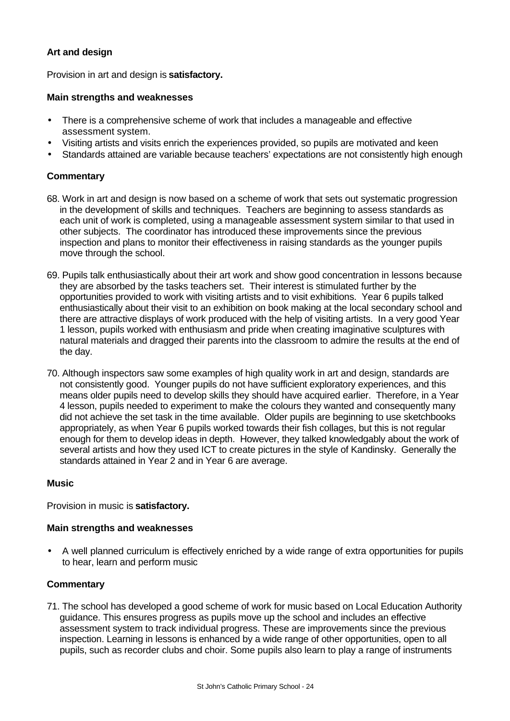## **Art and design**

Provision in art and design is **satisfactory.**

#### **Main strengths and weaknesses**

- There is a comprehensive scheme of work that includes a manageable and effective assessment system.
- Visiting artists and visits enrich the experiences provided, so pupils are motivated and keen
- Standards attained are variable because teachers' expectations are not consistently high enough

### **Commentary**

- 68. Work in art and design is now based on a scheme of work that sets out systematic progression in the development of skills and techniques. Teachers are beginning to assess standards as each unit of work is completed, using a manageable assessment system similar to that used in other subjects. The coordinator has introduced these improvements since the previous inspection and plans to monitor their effectiveness in raising standards as the younger pupils move through the school.
- 69. Pupils talk enthusiastically about their art work and show good concentration in lessons because they are absorbed by the tasks teachers set. Their interest is stimulated further by the opportunities provided to work with visiting artists and to visit exhibitions. Year 6 pupils talked enthusiastically about their visit to an exhibition on book making at the local secondary school and there are attractive displays of work produced with the help of visiting artists. In a very good Year 1 lesson, pupils worked with enthusiasm and pride when creating imaginative sculptures with natural materials and dragged their parents into the classroom to admire the results at the end of the day.
- 70. Although inspectors saw some examples of high quality work in art and design, standards are not consistently good. Younger pupils do not have sufficient exploratory experiences, and this means older pupils need to develop skills they should have acquired earlier. Therefore, in a Year 4 lesson, pupils needed to experiment to make the colours they wanted and consequently many did not achieve the set task in the time available. Older pupils are beginning to use sketchbooks appropriately, as when Year 6 pupils worked towards their fish collages, but this is not regular enough for them to develop ideas in depth. However, they talked knowledgably about the work of several artists and how they used ICT to create pictures in the style of Kandinsky. Generally the standards attained in Year 2 and in Year 6 are average.

### **Music**

Provision in music is **satisfactory.**

### **Main strengths and weaknesses**

• A well planned curriculum is effectively enriched by a wide range of extra opportunities for pupils to hear, learn and perform music

### **Commentary**

71. The school has developed a good scheme of work for music based on Local Education Authority guidance. This ensures progress as pupils move up the school and includes an effective assessment system to track individual progress. These are improvements since the previous inspection. Learning in lessons is enhanced by a wide range of other opportunities, open to all pupils, such as recorder clubs and choir. Some pupils also learn to play a range of instruments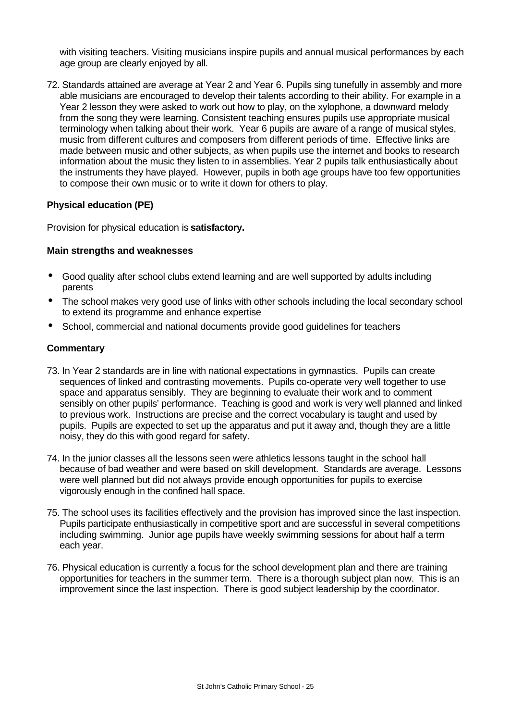with visiting teachers. Visiting musicians inspire pupils and annual musical performances by each age group are clearly enjoyed by all.

72. Standards attained are average at Year 2 and Year 6. Pupils sing tunefully in assembly and more able musicians are encouraged to develop their talents according to their ability. For example in a Year 2 lesson they were asked to work out how to play, on the xylophone, a downward melody from the song they were learning. Consistent teaching ensures pupils use appropriate musical terminology when talking about their work. Year 6 pupils are aware of a range of musical styles, music from different cultures and composers from different periods of time. Effective links are made between music and other subjects, as when pupils use the internet and books to research information about the music they listen to in assemblies. Year 2 pupils talk enthusiastically about the instruments they have played. However, pupils in both age groups have too few opportunities to compose their own music or to write it down for others to play.

### **Physical education (PE)**

Provision for physical education is **satisfactory.**

## **Main strengths and weaknesses**

- Good quality after school clubs extend learning and are well supported by adults including parents
- The school makes very good use of links with other schools including the local secondary school to extend its programme and enhance expertise
- School, commercial and national documents provide good guidelines for teachers

- 73. In Year 2 standards are in line with national expectations in gymnastics. Pupils can create sequences of linked and contrasting movements. Pupils co-operate very well together to use space and apparatus sensibly. They are beginning to evaluate their work and to comment sensibly on other pupils' performance. Teaching is good and work is very well planned and linked to previous work. Instructions are precise and the correct vocabulary is taught and used by pupils. Pupils are expected to set up the apparatus and put it away and, though they are a little noisy, they do this with good regard for safety.
- 74. In the junior classes all the lessons seen were athletics lessons taught in the school hall because of bad weather and were based on skill development. Standards are average. Lessons were well planned but did not always provide enough opportunities for pupils to exercise vigorously enough in the confined hall space.
- 75. The school uses its facilities effectively and the provision has improved since the last inspection. Pupils participate enthusiastically in competitive sport and are successful in several competitions including swimming. Junior age pupils have weekly swimming sessions for about half a term each year.
- 76. Physical education is currently a focus for the school development plan and there are training opportunities for teachers in the summer term. There is a thorough subject plan now. This is an improvement since the last inspection. There is good subject leadership by the coordinator.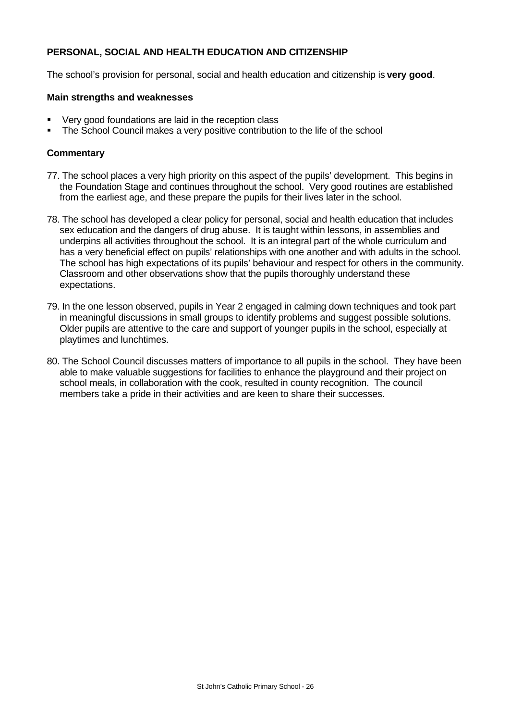## **PERSONAL, SOCIAL AND HEALTH EDUCATION AND CITIZENSHIP**

The school's provision for personal, social and health education and citizenship is **very good**.

#### **Main strengths and weaknesses**

- Very good foundations are laid in the reception class
- The School Council makes a very positive contribution to the life of the school

- 77. The school places a very high priority on this aspect of the pupils' development. This begins in the Foundation Stage and continues throughout the school. Very good routines are established from the earliest age, and these prepare the pupils for their lives later in the school.
- 78. The school has developed a clear policy for personal, social and health education that includes sex education and the dangers of drug abuse. It is taught within lessons, in assemblies and underpins all activities throughout the school. It is an integral part of the whole curriculum and has a very beneficial effect on pupils' relationships with one another and with adults in the school. The school has high expectations of its pupils' behaviour and respect for others in the community. Classroom and other observations show that the pupils thoroughly understand these expectations.
- 79. In the one lesson observed, pupils in Year 2 engaged in calming down techniques and took part in meaningful discussions in small groups to identify problems and suggest possible solutions. Older pupils are attentive to the care and support of younger pupils in the school, especially at playtimes and lunchtimes.
- 80. The School Council discusses matters of importance to all pupils in the school. They have been able to make valuable suggestions for facilities to enhance the playground and their project on school meals, in collaboration with the cook, resulted in county recognition. The council members take a pride in their activities and are keen to share their successes.